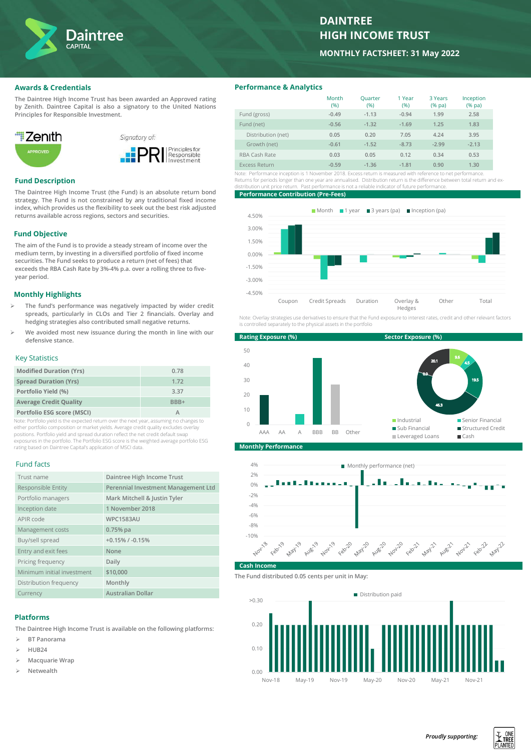

# **DAINTREE HIGH INCOME TRUST**

**MONTHLY FACTSHEET: 31 May 2022**

### **Awards & Credentials**

**The Daintree High Income Trust has been awarded an Approved rating by Zenith. Daintree Capital is also a signatory to the United Nations Principles for Responsible Investment.**



## **Fund Description**

**The Daintree High Income Trust (the Fund) is an absolute return bond strategy. The Fund is not constrained by any traditional fixed income index, which provides us the flexibility to seek out the best risk adjusted returns available across regions, sectors and securities.**

### **Fund Objective**

**The aim of the Fund is to provide a steady stream of income over the medium term, by investing in a diversified portfolio of fixed income securities. The Fund seeks to produce a return (net of fees) that exceeds the RBA Cash Rate by 3%-4% p.a. over a rolling three to fiveyear period.** 

### **Monthly Highlights**

- ➢ **The fund's performance was negatively impacted by wider credit spreads, particularly in CLOs and Tier 2 financials. Overlay and hedging strategies also contributed small negative returns.**
- ➢ **We avoided most new issuance during the month in line with our defensive stance.**

## Key Statistics

| <b>Modified Duration (Yrs)</b> | 0.78             |
|--------------------------------|------------------|
| <b>Spread Duration (Yrs)</b>   | 1.72             |
| Portfolio Yield (%)            | 3.37             |
| <b>Average Credit Quality</b>  | BB <sub>R+</sub> |
| Portfolio ESG score (MSCI)     |                  |

Note: Portfolio yield is the expected return over the next year, assuming no changes to either portfolio composition or market yields. Average credit quality excludes overlay positions. Portfolio yield and spread duration reflect the net credit default swap exposures in the portfolio. The Portfolio ESG score is the weighted average portfolio ESG rating based on Daintree Capital's application of MSCI data.

#### Fund facts

| Trust name                 | Daintree High Income Trust          |
|----------------------------|-------------------------------------|
| Responsible Entity         | Perennial Investment Management Ltd |
| Portfolio managers         | Mark Mitchell & Justin Tyler        |
| Inception date             | 1 November 2018                     |
| APIR code                  | <b>WPC1583AU</b>                    |
| Management costs           | $0.75%$ pa                          |
| Buy/sell spread            | $+0.15\%$ / $-0.15\%$               |
| Entry and exit fees        | None                                |
| Pricing frequency          | Daily                               |
| Minimum initial investment | \$10,000                            |
| Distribution frequency     | Monthly                             |
| Currency                   | <b>Australian Dollar</b>            |

#### **Platforms**

**The Daintree High Income Trust is available on the following platforms:**

- ➢ **BT Panorama**
- ➢ **HUB24**
- ➢ **Macquarie Wrap**
- ➢ **Netwealth**

### **Performance & Analytics**

| Month<br>(%) | Quarter<br>(%) | 1 Year<br>(%) | 3 Years<br>$(%$ (% pa) | Inception<br>$(%$ (% pa) |
|--------------|----------------|---------------|------------------------|--------------------------|
| $-0.49$      | $-1.13$        | $-0.94$       | 1.99                   | 2.58                     |
| $-0.56$      | $-1.32$        | $-1.69$       | 1.25                   | 1.83                     |
| 0.05         | 0.20           | 7.05          | 4.24                   | 3.95                     |
| $-0.61$      | $-1.52$        | $-8.73$       | $-2.99$                | $-2.13$                  |
| 0.03         | 0.05           | 0.12          | 0.34                   | 0.53                     |
| $-0.59$      | $-1.36$        | $-1.81$       | 0.90                   | 1.30                     |
|              |                |               |                        |                          |

Note: Performance inception is 1 November 2018. Excess return is measured with reference to net performance. Returns for periods longer than one year are annualised. Distribution return is the difference between total return and exdistribution unit price return. Past performance is not a reliable indicator of future performance.

#### **Performance Contribution (Pre-Fees)**



Note: Overlay strategies use derivatives to ensure that the Fund exposure to interest rates, credit and other relevant factors is controlled separately to the physical assets in the portfolio



**Monthly Performance**



#### **Cash Incom**

**The Fund distributed 0.05 cents per unit in May:**